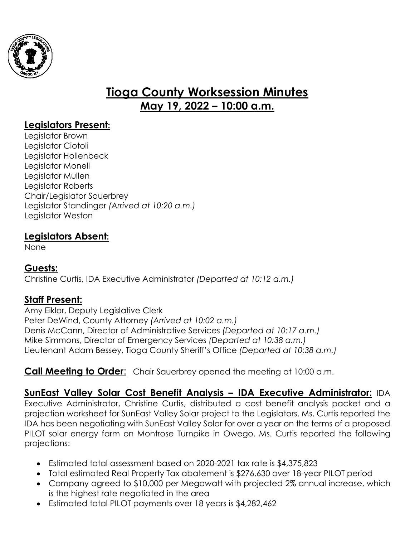

# **Tioga County Worksession Minutes May 19, 2022 – 10:00 a.m.**

# **Legislators Present:**

Legislator Brown Legislator Ciotoli Legislator Hollenbeck Legislator Monell Legislator Mullen Legislator Roberts Chair/Legislator Sauerbrey Legislator Standinger *(Arrived at 10:20 a.m.)* Legislator Weston

## **Legislators Absent:**

None

#### **Guests:**

Christine Curtis, IDA Executive Administrator *(Departed at 10:12 a.m.)*

## **Staff Present:**

Amy Eiklor, Deputy Legislative Clerk Peter DeWind, County Attorney *(Arrived at 10:02 a.m.)* Denis McCann, Director of Administrative Services *(Departed at 10:17 a.m.)* Mike Simmons, Director of Emergency Services *(Departed at 10:38 a.m.)* Lieutenant Adam Bessey, Tioga County Sheriff's Office *(Departed at 10:38 a.m.)*

## **Call Meeting to Order**: Chair Sauerbrey opened the meeting at 10:00 a.m.

**SunEast Valley Solar Cost Benefit Analysis – IDA Executive Administrator:** IDA Executive Administrator, Christine Curtis, distributed a cost benefit analysis packet and a projection worksheet for SunEast Valley Solar project to the Legislators. Ms. Curtis reported the IDA has been negotiating with SunEast Valley Solar for over a year on the terms of a proposed PILOT solar energy farm on Montrose Turnpike in Owego. Ms. Curtis reported the following projections:

- Estimated total assessment based on 2020-2021 tax rate is \$4,375,823
- Total estimated Real Property Tax abatement is \$276,630 over 18-year PILOT period
- Company agreed to \$10,000 per Megawatt with projected 2% annual increase, which is the highest rate negotiated in the area
- Estimated total PILOT payments over 18 years is \$4,282,462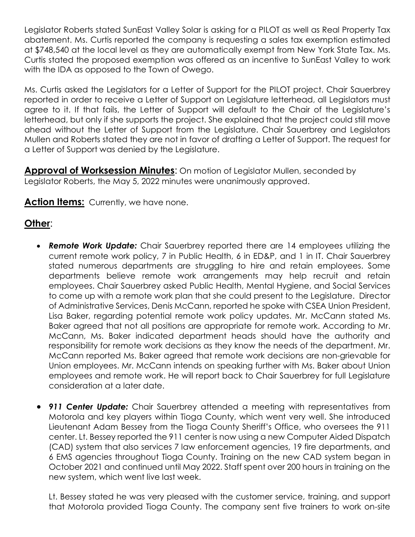Legislator Roberts stated SunEast Valley Solar is asking for a PILOT as well as Real Property Tax abatement. Ms. Curtis reported the company is requesting a sales tax exemption estimated at \$748,540 at the local level as they are automatically exempt from New York State Tax. Ms. Curtis stated the proposed exemption was offered as an incentive to SunEast Valley to work with the IDA as opposed to the Town of Owego.

Ms. Curtis asked the Legislators for a Letter of Support for the PILOT project. Chair Sauerbrey reported in order to receive a Letter of Support on Legislature letterhead, all Legislators must agree to it. If that fails, the Letter of Support will default to the Chair of the Legislature's letterhead, but only if she supports the project. She explained that the project could still move ahead without the Letter of Support from the Legislature. Chair Sauerbrey and Legislators Mullen and Roberts stated they are not in favor of drafting a Letter of Support. The request for a Letter of Support was denied by the Legislature.

**Approval of Worksession Minutes:** On motion of Legislator Mullen, seconded by Legislator Roberts, the May 5, 2022 minutes were unanimously approved.

Action Items: Currently, we have none.

## **Other**:

- *Remote Work Update:* Chair Sauerbrey reported there are 14 employees utilizing the current remote work policy, 7 in Public Health, 6 in ED&P, and 1 in IT. Chair Sauerbrey stated numerous departments are struggling to hire and retain employees. Some departments believe remote work arrangements may help recruit and retain employees. Chair Sauerbrey asked Public Health, Mental Hygiene, and Social Services to come up with a remote work plan that she could present to the Legislature. Director of Administrative Services, Denis McCann, reported he spoke with CSEA Union President, Lisa Baker, regarding potential remote work policy updates. Mr. McCann stated Ms. Baker agreed that not all positions are appropriate for remote work. According to Mr. McCann, Ms. Baker indicated department heads should have the authority and responsibility for remote work decisions as they know the needs of the department. Mr. McCann reported Ms. Baker agreed that remote work decisions are non-grievable for Union employees. Mr. McCann intends on speaking further with Ms. Baker about Union employees and remote work. He will report back to Chair Sauerbrey for full Legislature consideration at a later date.
- **911 Center Update:** Chair Sauerbrey attended a meeting with representatives from Motorola and key players within Tioga County, which went very well. She introduced Lieutenant Adam Bessey from the Tioga County Sheriff's Office, who oversees the 911 center. Lt. Bessey reported the 911 center is now using a new Computer Aided Dispatch (CAD) system that also services 7 law enforcement agencies, 19 fire departments, and 6 EMS agencies throughout Tioga County. Training on the new CAD system began in October 2021 and continued until May 2022. Staff spent over 200 hours in training on the new system, which went live last week.

Lt. Bessey stated he was very pleased with the customer service, training, and support that Motorola provided Tioga County. The company sent five trainers to work on-site